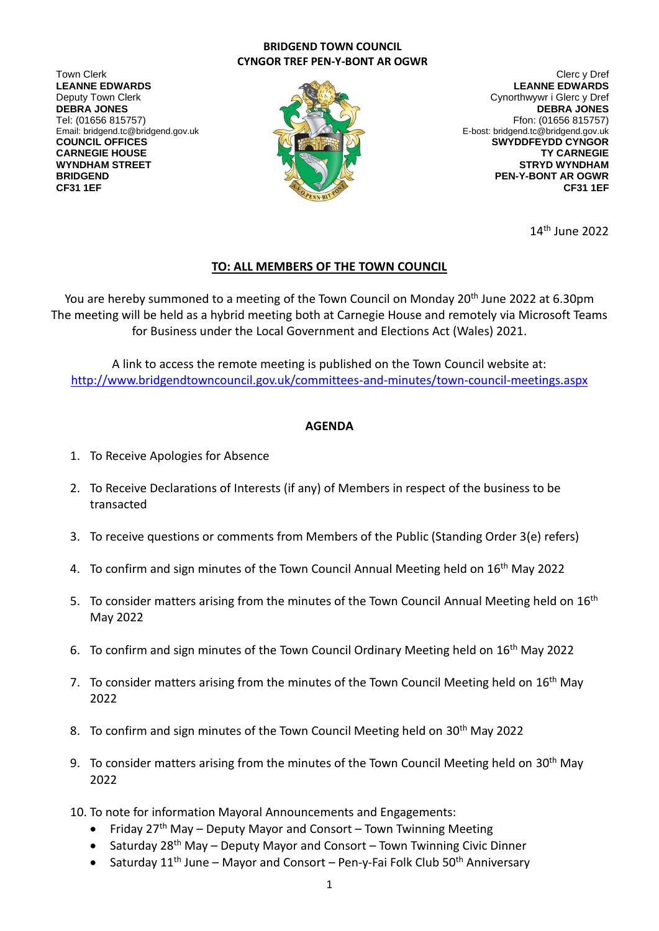## **BRIDGEND TOWN COUNCIL CYNGOR TREF PEN-Y-BONT AR OGWR**

Town Clerk Clerc y Dref **LEANNE EDWARDS** Deputy Town Clerk **DEBRA JONES** Email: bridgend.tc@bridgend.gov.uk



**LEANNE EDWARDS** Cynorthwywr i Glerc y Dref **DEBRA JONES** Tel: (01656 815757) Ffon: (01656 815757) Ffon: (01656 815757) Ffon: (01656 815757) **COUNCIL OFFICES AND RELEASE ASSESSMENT OF THE SWYDDFEY OF SWYDDFEY OD CYNGOR CARNEGIE HOUSE TY CARNEGIE WYNDHAM STREET STRYD WYNDHAM BRIDGEND PEN-Y-BONT AR OGWR CF31 1EF CF31 1EF**

14th June 2022

## **TO: ALL MEMBERS OF THE TOWN COUNCIL**

You are hereby summoned to a meeting of the Town Council on Monday 20<sup>th</sup> June 2022 at 6.30pm The meeting will be held as a hybrid meeting both at Carnegie House and remotely via Microsoft Teams for Business under the Local Government and Elections Act (Wales) 2021.

A link to access the remote meeting is published on the Town Council website at: <http://www.bridgendtowncouncil.gov.uk/committees-and-minutes/town-council-meetings.aspx>

## **AGENDA**

- 1. To Receive Apologies for Absence
- 2. To Receive Declarations of Interests (if any) of Members in respect of the business to be transacted
- 3. To receive questions or comments from Members of the Public (Standing Order 3(e) refers)
- 4. To confirm and sign minutes of the Town Council Annual Meeting held on 16<sup>th</sup> May 2022
- 5. To consider matters arising from the minutes of the Town Council Annual Meeting held on  $16<sup>th</sup>$ May 2022
- 6. To confirm and sign minutes of the Town Council Ordinary Meeting held on 16<sup>th</sup> May 2022
- 7. To consider matters arising from the minutes of the Town Council Meeting held on 16<sup>th</sup> May 2022
- 8. To confirm and sign minutes of the Town Council Meeting held on 30<sup>th</sup> May 2022
- 9. To consider matters arising from the minutes of the Town Council Meeting held on  $30<sup>th</sup>$  May 2022
- 10. To note for information Mayoral Announcements and Engagements:
	- Friday  $27<sup>th</sup>$  May Deputy Mayor and Consort Town Twinning Meeting
	- Saturday 28<sup>th</sup> May Deputy Mayor and Consort Town Twinning Civic Dinner
	- Saturday  $11<sup>th</sup>$  June Mayor and Consort Pen-y-Fai Folk Club 50<sup>th</sup> Anniversary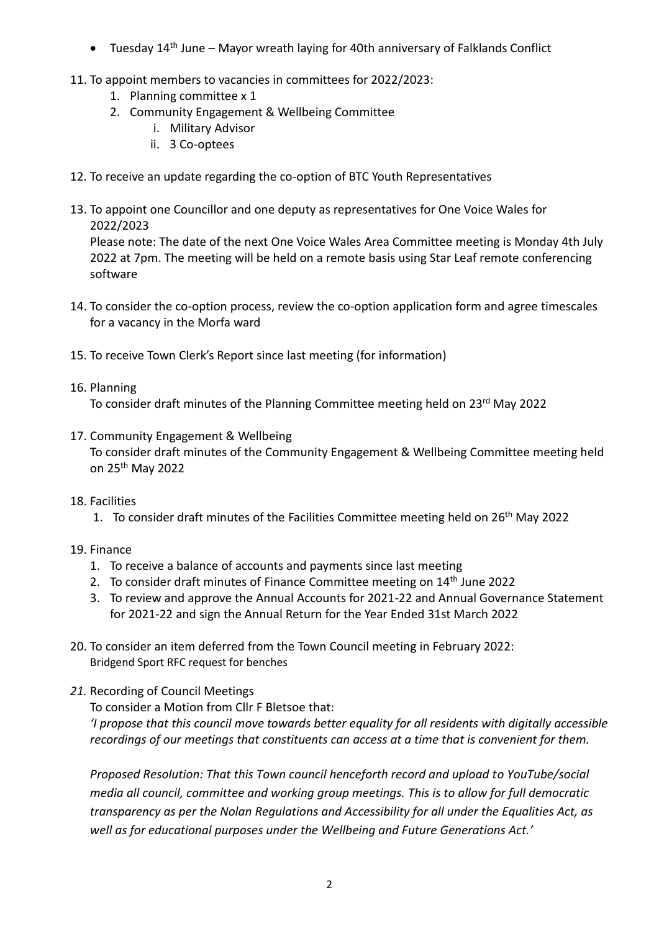- Tuesday  $14<sup>th</sup>$  June Mayor wreath laying for 40th anniversary of Falklands Conflict
- 11. To appoint members to vacancies in committees for 2022/2023:
	- 1. Planning committee x 1
	- 2. Community Engagement & Wellbeing Committee
		- i. Military Advisor
		- ii. 3 Co-optees
- 12. To receive an update regarding the co-option of BTC Youth Representatives
- 13. To appoint one Councillor and one deputy as representatives for One Voice Wales for 2022/2023

Please note: The date of the next One Voice Wales Area Committee meeting is Monday 4th July 2022 at 7pm. The meeting will be held on a remote basis using Star Leaf remote conferencing software

- 14. To consider the co-option process, review the co-option application form and agree timescales for a vacancy in the Morfa ward
- 15. To receive Town Clerk's Report since last meeting (for information)
- 16. Planning

To consider draft minutes of the Planning Committee meeting held on 23<sup>rd</sup> May 2022

- 17. Community Engagement & Wellbeing To consider draft minutes of the Community Engagement & Wellbeing Committee meeting held on 25th May 2022
- 18. Facilities
	- 1. To consider draft minutes of the Facilities Committee meeting held on 26<sup>th</sup> May 2022
- 19. Finance
	- 1. To receive a balance of accounts and payments since last meeting
	- 2. To consider draft minutes of Finance Committee meeting on 14<sup>th</sup> June 2022
	- 3. To review and approve the Annual Accounts for 2021-22 and Annual Governance Statement for 2021-22 and sign the Annual Return for the Year Ended 31st March 2022
- 20. To consider an item deferred from the Town Council meeting in February 2022: Bridgend Sport RFC request for benches
- *21.* Recording of Council Meetings

To consider a Motion from Cllr F Bletsoe that:

*'I propose that this council move towards better equality for all residents with digitally accessible recordings of our meetings that constituents can access at a time that is convenient for them.*

*Proposed Resolution: That this Town council henceforth record and upload to YouTube/social media all council, committee and working group meetings. This is to allow for full democratic transparency as per the Nolan Regulations and Accessibility for all under the Equalities Act, as well as for educational purposes under the Wellbeing and Future Generations Act.'*